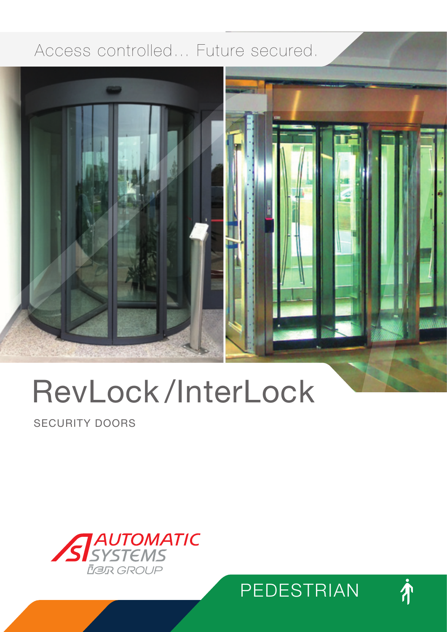# Access controlled… Future secured.



# RevLock /InterLock

SECURITY DOORS





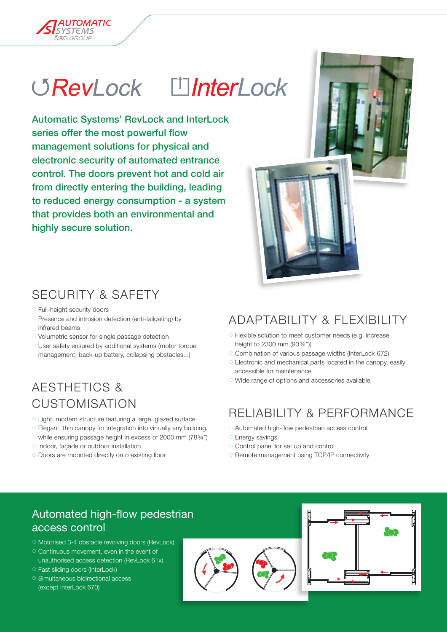

Automatic Systems' RevLock and InterLock series offer the most powerful flow management solutions for physical and electronic security of automated entrance control. The doors prevent hot and cold air from directly entering the building, leading to reduced energy consumption - a system that provides both an environmental and highly secure solution.

# SECURITY & SAFETY

- 7 Full-height security doors
- 7 Presence and intrusion detection (anti-tailgating) by infrared beams
- 7 Volumetric sensor for single passage detection
- 7 User safety ensured by additional systems (motor torque management, back-up battery, collapsing obstacles...)

# AESTHETICS & CUSTOMIsATION

- 7 Light, modern structure featuring a large, glazed surface
- 7 Elegant, thin canopy for integration into virtually any building, while ensuring passage height in excess of 2000 mm (78%")
- 7 Indoor, façade or outdoor installation
- 7 Doors are mounted directly onto existing floor

# ADAPTABILITY & FLEXIBILITY

- 7 Flexible solution to meet customer needs (e.g. increase height to 2300 mm (90 1/2"))
- 7 Combination of various passage widths (InterLock 672)
- 7 Electronic and mechanical parts located in the canopy, easily accessible for maintenance
- 7 Wide range of options and accessories available

# RELIABILITY & PERFORMANCE

- 7 Automated high-flow pedestrian access control
- <sup>o</sup> Energy savings
- 7 Control panel for set up and control
- 7 Remote management using TCP/IP connectivity



- <sup>o</sup> Motorised 3-4 obstacle revolving doors (RevLock)
- <sup>o</sup> Continuous movement, even in the event of unauthorised access detection (RevLock 61x)
- **Fast sliding doors (InterLock)**
- **Simultaneous bidirectional access** (except InterLock 670)





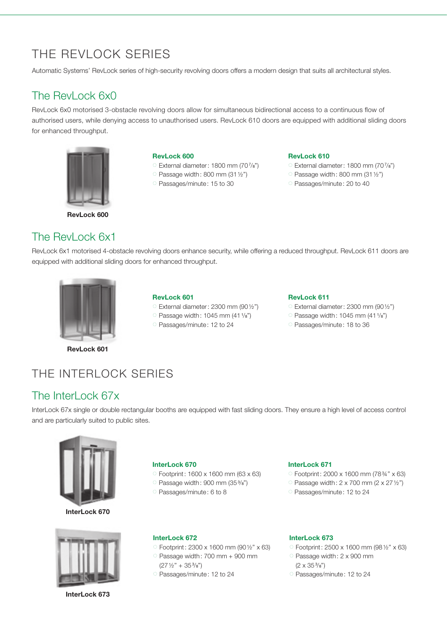# THE REVI OCK SERIES

Automatic Systems' RevLock series of high-security revolving doors offers a modern design that suits all architectural styles.

## The RevLock 6x0

RevLock 6x0 motorised 3-obstacle revolving doors allow for simultaneous bidirectional access to a continuous flow of authorised users, while denying access to unauthorised users. RevLock 610 doors are equipped with additional sliding doors for enhanced throughput.



RevLock 600

#### RevLock 600

- C External diameter: 1800 mm (707/8")
- $\degree$  Passage width: 800 mm (31 $1/2$ ")
- 7 Passages/minute: 15 to 30

#### RevLock 610

- 7 External diameter: 1800 mm (70<sup>7</sup> /8'')
- $\degree$  Passage width: 800 mm (31 $1/2$ ")
- 7 Passages/minute: 20 to 40

## The RevLock 6x1

RevLock 6x1 motorised 4-obstacle revolving doors enhance security, while offering a reduced throughput. RevLock 611 doors are equipped with additional sliding doors for enhanced throughput.



## RevLock 601

- $\circ$  External diameter: 2300 mm (90 $1/2$ ")
- $\degree$  Passage width: 1045 mm (41 $1$ / $\degree$ )
- 7 Passages/minute: 12 to 24

### RevLock 611

- $\circ$  External diameter: 2300 mm (901/2")
- $\degree$  Passage width: 1045 mm (41 $1$ / $\degree$ )
- 7 Passages/minute: 18 to 36

# The InterLock Series

## The InterLock 67x

InterLock 67x single or double rectangular booths are equipped with fast sliding doors. They ensure a high level of access control and are particularly suited to public sites.



InterLock 670



InterLock 673

#### InterLock 670

- 7 Footprint: 1600 x 1600 mm (63 x 63)
- Passage width: 900 mm (353/8")
- 7 Passages/minute: 6 to 8

## InterLock 671

- 7 Footprint: 2000 x 1600 mm (783/4'' x 63)
- Passage width:  $2 \times 700$  mm ( $2 \times 27 \frac{1}{2}$ ")
- 7 Passages/minute: 12 to 24

#### InterLock 672

- 7 Footprint: 2300 x 1600 mm (901/2'' x 63)  $\degree$  Passage width: 700 mm + 900 mm  $(27\frac{1}{2}$ " + 35 $\frac{3}{8}$ ")
- 7 Passages/minute: 12 to 24

## InterLock 673

- 7 Footprint: 2500 x 1600 mm (981/2'' x 63)
- 7 Passage width: 2 x 900 mm  $(2 \times 35\frac{3}{8})$
- 7 Passages/minute: 12 to 24